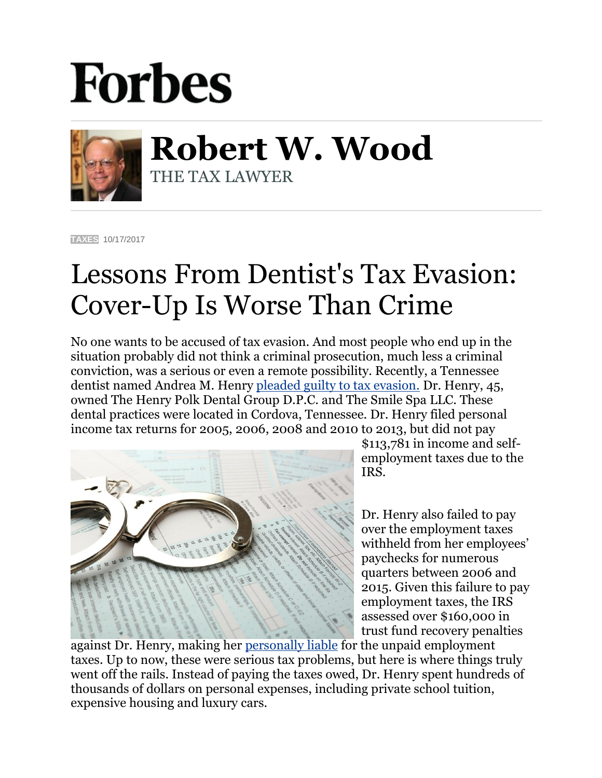## **Forbes**



**Robert W. Wood** THE TAX LAWYER

**[TAXES](https://www.forbes.com/taxes)** 10/17/2017

## Lessons From Dentist's Tax Evasion: Cover-Up Is Worse Than Crime

No one wants to be accused of tax evasion. And most people who end up in the situation probably did not think a criminal prosecution, much less a criminal conviction, was a serious or even a remote possibility. Recently, a Tennessee dentist named Andrea M. Henry [pleaded guilty to tax evasion.](https://www.justice.gov/opa/pr/tennessee-dentist-pleads-guilty-tax-evasion) Dr. Henry, 45, owned The Henry Polk Dental Group D.P.C. and The Smile Spa LLC. These dental practices were located in Cordova, Tennessee. Dr. Henry filed personal income tax returns for 2005, 2006, 2008 and 2010 to 2013, but did not pay



\$113,781 in income and selfemployment taxes due to the IRS.

Dr. Henry also failed to pay over the employment taxes withheld from her employees' paychecks for numerous quarters between 2006 and 2015. Given this failure to pay employment taxes, the IRS assessed over \$160,000 in trust fund recovery penalties

against Dr. Henry, making her [personally liable](https://www.forbes.com/sites/robertwood/2017/03/13/irs-payroll-taxes-can-close-a-business-mean-personal-liability-even-jail/#28c6e6a82dad) for the unpaid employment taxes. Up to now, these were serious tax problems, but here is where things truly went off the rails. Instead of paying the taxes owed, Dr. Henry spent hundreds of thousands of dollars on personal expenses, including private school tuition, expensive housing and luxury cars.